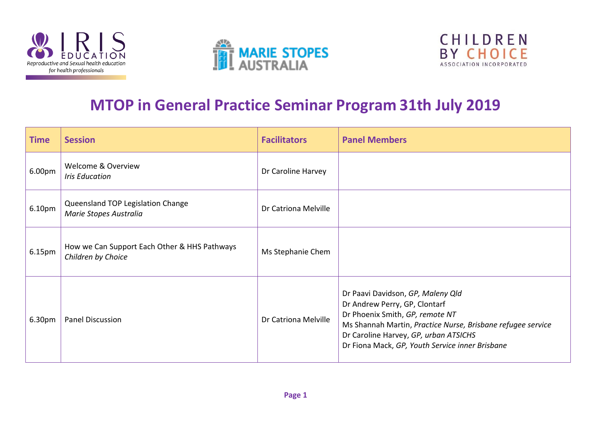





## **MTOP in General Practice Seminar Program 31th July 2019**

| <b>Time</b> | <b>Session</b>                                                     | <b>Facilitators</b>  | <b>Panel Members</b>                                                                                                                                                                                                                                             |
|-------------|--------------------------------------------------------------------|----------------------|------------------------------------------------------------------------------------------------------------------------------------------------------------------------------------------------------------------------------------------------------------------|
| 6.00pm      | <b>Welcome &amp; Overview</b><br><b>Iris Education</b>             | Dr Caroline Harvey   |                                                                                                                                                                                                                                                                  |
| 6.10pm      | Queensland TOP Legislation Change<br>Marie Stopes Australia        | Dr Catriona Melville |                                                                                                                                                                                                                                                                  |
| 6.15pm      | How we Can Support Each Other & HHS Pathways<br>Children by Choice | Ms Stephanie Chem    |                                                                                                                                                                                                                                                                  |
| 6.30pm      | Panel Discussion                                                   | Dr Catriona Melville | Dr Paavi Davidson, GP, Maleny Qld<br>Dr Andrew Perry, GP, Clontarf<br>Dr Phoenix Smith, GP, remote NT<br>Ms Shannah Martin, Practice Nurse, Brisbane refugee service<br>Dr Caroline Harvey, GP, urban ATSICHS<br>Dr Fiona Mack, GP, Youth Service inner Brisbane |